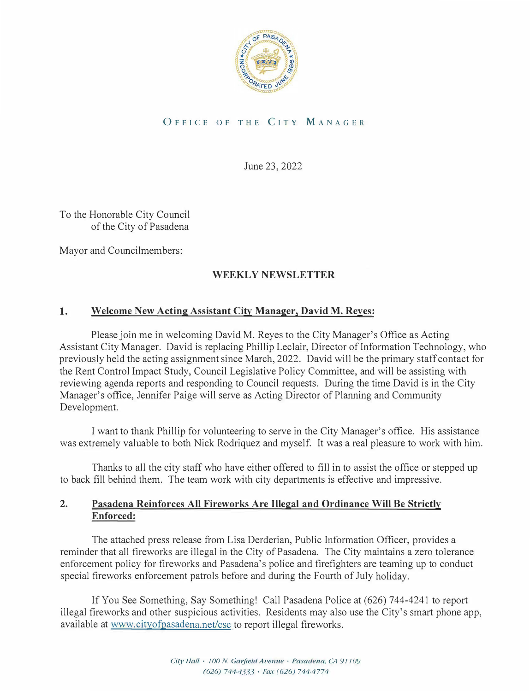

# OFFICE OF THE CITY MANAGER

June 23, 2022

To the Honorable City Council of the City of Pasadena

Mayor and Councilmembers:

# **WEEKLY NEWSLETTER**

# **1. Welcome New Acting Assistant City Manager, David M. Reyes:**

Please join me in welcoming David M. Reyes to the City Manager's Office as Acting Assistant City Manager. David is replacing Phillip Leclair, Director of Information Technology, who previously held the acting assignment since March, 2022. David will be the primary staff contact for the Rent Control Impact Study, Council Legislative Policy Committee, and will be assisting with reviewing agenda reports and responding to Council requests. During the time David is in the City Manager's office, Jennifer Paige will serve as Acting Director of Planning and Community Development.

I want to thank Phillip for volunteering to serve in the City Manager's office. His assistance was extremely valuable to both Nick Rodriquez and myself. It was a real pleasure to work with him.

Thanks to all the city staff who have either offered to fill in to assist the office or stepped up to back fill behind them. The team work with city departments is effective and impressive.

# **2. Pasadena Reinforces All Fireworks Are Illegal and Ordinance Will Be Strictly Enforced:**

The attached press release from Lisa Derderian, Public Information Officer, provides a reminder that all fireworks are illegal in the City of Pasadena. The City maintains a zero tolerance enforcement policy for fireworks and Pasadena's police and firefighters are teaming up to conduct special fireworks enforcement patrols before and during the Fourth of July holiday.

If You See Something, Say Something! Call Pasadena Police at (626) 744-4241 to report illegal fireworks and other suspicious activities. Residents may also use the City's smart phone app, available at <www.cityofpasadena.net/csc> to report illegal fireworks.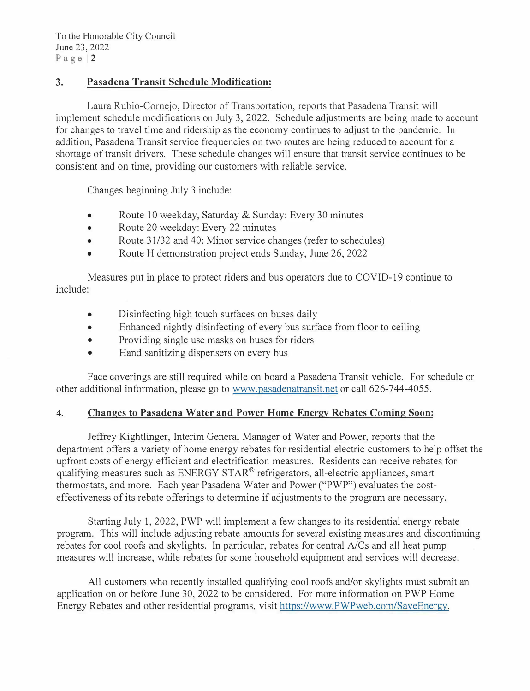# **3. Pasadena Transit Schedule Modification:**

Laura Rubio-Cornejo, Director of Transportation, reports that Pasadena Transit will implement schedule modifications on July 3, 2022. Schedule adjustments are being made to account for changes to travel time and ridership as the economy continues to adjust to the pandemic. In addition, Pasadena Transit service frequencies on two routes are being reduced to account for a shortage of transit drivers. These schedule changes will ensure that transit service continues to be consistent and on time, providing our customers with reliable service.

Changes beginning July 3 include:

- Route 10 weekday, Saturday & Sunday: Every 30 minutes
- Route 20 weekday: Every 22 minutes
- Route 31/32 and 40: Minor service changes (refer to schedules)
- Route H demonstration project ends Sunday, June 26, 2022

Measures put in place to protect riders and bus operators due to COVID-19 continue to include:

- Disinfecting high touch surfaces on buses daily
- Enhanced nightly disinfecting of every bus surface from floor to ceiling
- Providing single use masks on buses for riders
- Hand sanitizing dispensers on every bus

Face coverings are still required while on board a Pasadena Transit vehicle. For schedule or other additional information, please go to <www.pasadenatransit.net>or call 626-744-4055.

# **4. Changes to Pasadena Water and Power Home Energy Rebates Coming Soon:**

Jeffrey Kightlinger, Interim General Manager of Water and Power, reports that the department offers a variety of home energy rebates for residential electric customers to help offset the upfront costs of energy efficient and electrification measures. Residents can receive rebates for qualifying measures such as ENERGY STAR® refrigerators, all-electric appliances, smart thermostats, and more. Each year Pasadena Water and Power ("PWP") evaluates the costeffectiveness of its rebate offerings to determine if adjustments to the program are necessary.

Starting July 1, 2022, PWP will implement a few changes to its residential energy rebate program. This will include adjusting rebate amounts for several existing measures and discontinuing rebates for cool roofs and skylights. In particular, rebates for central A/Cs and all heat pump measures will increase, while rebates for some household equipment and services will decrease.

All customers who recently installed qualifying cool roofs and/or skylights must submit an application on or before June 30, 2022 to be considered. For more information on PWP Home Energy Rebates and other residential programs, visit [https://www.PWPweb.com/SaveEnergy.](https://www.PWPweb.com/SaveEnergy)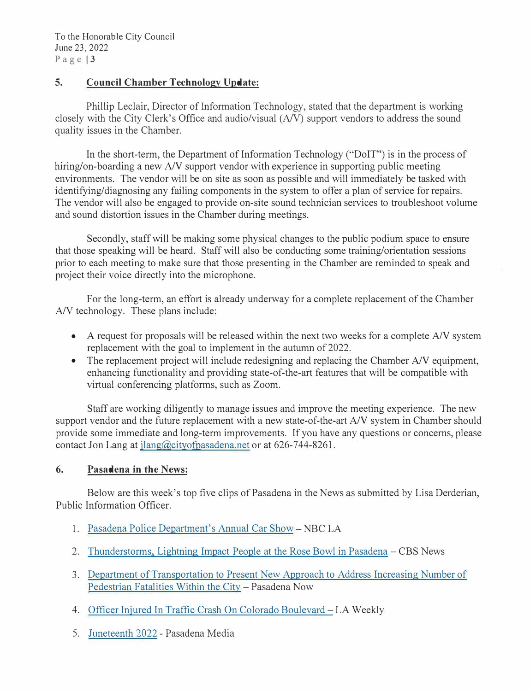## **5. Council Chamber Technology Update:**

Phillip Leclair, Director of Information Technology, stated that the department is working closely with the City Clerk's Office and audio/visual (A/V) support vendors to address the sound quality issues in the Chamber.

In the short-term, the Department of Information Technology ("DoIT") is in the process of hiring/on-boarding a new A/V support vendor with experience in supporting public meeting environments. The vendor will be on site as soon as possible and will immediately be tasked with identifying/diagnosing any failing components in the system to offer a plan of service for repairs. The vendor will also be engaged to provide on-site sound technician services to troubleshoot volume and sound distortion issues in the Chamber during meetings.

Secondly, staff will be making some physical changes to the public podium space to ensure that those speaking will be heard. Staff will also be conducting some training/orientation sessions prior to each meeting to make sure that those presenting in the Chamber are reminded to speak and project their voice directly into the microphone.

For the long-term, an effort is already underway for a complete replacement of the Chamber A/V technology. These plans include:

- A request for proposals will be released within the next two weeks for a complete A/V system replacement with the goal to implement in the autumn of 2022.
- The replacement project will include redesigning and replacing the Chamber A/V equipment, enhancing functionality and providing state-of-the-art features that will be compatible with virtual conferencing platforms, such as Zoom.

Staff are working diligently to manage issues and improve the meeting experience. The new support vendor and the future replacement with a new state-of-the-art A/V system in Chamber should provide some immediate and long-term improvements. If you have any questions or concerns, please contact Jon Lang at jlang@cityofpasadena.net or at 626-744-8261.

### **6. Pasadena in the News:**

Below are this week's top five clips of Pasadena in the News as submitted by Lisa Derderian, Public Information Officer.

- 1. [Pasadena Police Department's Annual Car Show](https://app.criticalmention.com/app/#/clip/public/a0b94c47-780a-4ac4-bf71-8fd37f904da9) [-](https://app.criticalmention.com/app/#/clip/public/a0b94c47-780a-4ac4-bf71-8fd37f904da9) NBC LA
- 2. [Thunderstorms, Lightning Impact People at the Rose Bowl in Pasadena -](https://www.cbsnews.com/losangeles/video/thunderstorms-lightning-impact-people-at-the-rose-bowl-in-pasadena/) CBS News
- 3. [Department of Transportation to Present New Approach to Address Increasing Number of](https://www.pasadenanow.com/main/department-of-transportation-to-present-new-approach-to-address-increasing-number-of-pedestrian-fatalities-within-the-city) [Pedestrian Fatalities Within the City](https://www.pasadenanow.com/main/department-of-transportation-to-present-new-approach-to-address-increasing-number-of-pedestrian-fatalities-within-the-city) - Pasadena Now
- 4. [Officer Injured In Traffic Crash On Colorado Boulevard](https://www.laweekly.com/officer-injured-traffic-crash-colorado-boulevard-pasadena-ca/) LA Weekly
- 5. [Juneteenth 2022](https://www.youtube.com/watch?v=l7qsKS1wuZk) Pasadena Media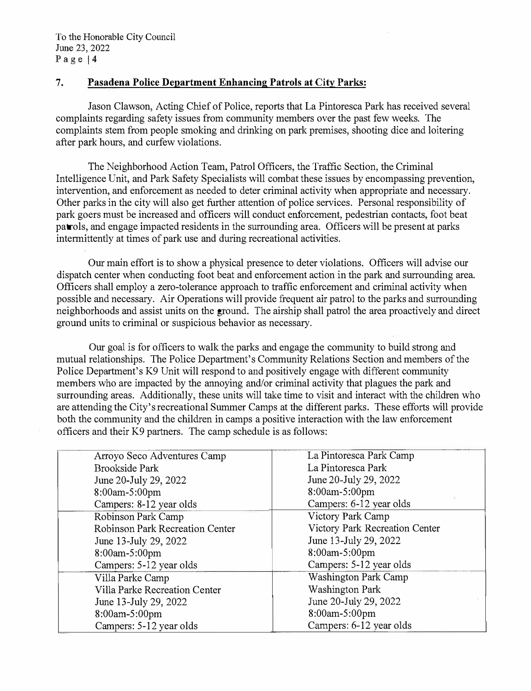## 7. **Pasadena Police Department Enhancing Patrols at City Parks:**

Jason Clawson, Acting Chief of Police, reports that La Pintoresca Park has received several complaints regarding safety issues from community members over the past few weeks. The complaints stem from people smoking and drinking on park premises, shooting dice and loitering after park hours, and curfew violations.

The Neighborhood Action Team, Patrol Officers, the Traffic Section, the Criminal Intelligence Unit, and Park Safety Specialists will combat these issues by encompassing prevention, intervention, and enforcement as needed to deter criminal activity when appropriate and necessary. Other parks in the city will also get further attention of police services. Personal responsibility of park goers must be increased and officers will conduct enforcement, pedestrian contacts, foot beat patrols, and engage impacted residents in the surrounding area. Officers will be present at parks intermittently at times of park use and during recreational activities.

Our main effort is to show a physical presence to deter violations. Officers will advise our dispatch center when conducting foot beat and enforcement action in the park and surrounding area. Officers shall employ a zero-tolerance approach to traffic enforcement and criminal activity when possible and necessary. Air Operations will provide frequent air patrol to the parks and surrounding neighborhoods and assist units on the ground. The airship shall patrol the area proactively and direct ground units to criminal or suspicious behavior as necessary.

Our goal is for officers to walk the parks and engage the community to build strong and mutual relationships. The Police Department's Community Relations Section and members of the Police Department's K9 Unit will respond to and positively engage with different community members who are impacted by the annoying and/or criminal activity that plagues the park and surrounding areas. Additionally, these units will take time to visit and interact with the children who are attending the City's recreational Summer Camps at the different parks. These efforts will provide both the community and the children in camps a positive interaction with the law enforcement officers and their K9 partners. The camp schedule is as follows:

| Arroyo Seco Adventures Camp            | La Pintoresca Park Camp        |
|----------------------------------------|--------------------------------|
| <b>Brookside Park</b>                  | La Pintoresca Park             |
| June 20-July 29, 2022                  | June 20-July 29, 2022          |
| 8:00am-5:00pm                          | 8:00am-5:00pm                  |
| Campers: 8-12 year olds                | Campers: 6-12 year olds        |
| Robinson Park Camp                     | Victory Park Camp              |
| <b>Robinson Park Recreation Center</b> | Victory Park Recreation Center |
| June 13-July 29, 2022                  | June 13-July 29, 2022          |
| 8:00am-5:00pm                          | 8:00am-5:00pm                  |
| Campers: 5-12 year olds                | Campers: 5-12 year olds        |
| Villa Parke Camp                       | <b>Washington Park Camp</b>    |
| Villa Parke Recreation Center          | <b>Washington Park</b>         |
| June 13-July 29, 2022                  | June 20-July 29, 2022          |
| 8:00am-5:00pm                          | 8:00am-5:00pm                  |
| Campers: 5-12 year olds                | Campers: 6-12 year olds        |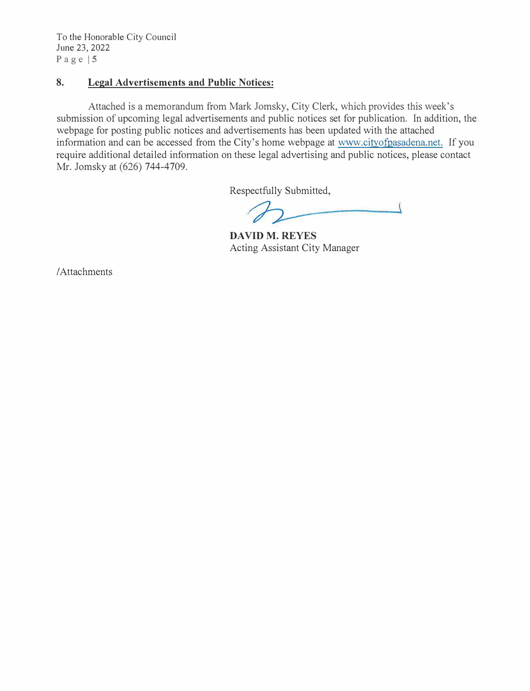To the Honorable City Council June 23, 2022 Page  $|5$ 

## **8. Legal Advertisements and Public Notices:**

Attached is a memorandum from Mark Jomsky, City Clerk, which provides this week's submission of upcoming legal advertisements and public notices set for publication. In addition, the webpage for posting public notices and advertisements has been updated with the attached information and can be accessed from the City's home webpage at www.cityofpasadena.net. If you require additional detailed information on these legal advertising and public notices, please contact Mr. Jomsky at (626) 744-4709.

Respectfully Submitted,

 $\overline{\mathcal{L}}$ 

**DAVID M. REYES**  Acting Assistant City Manager

/ Attachments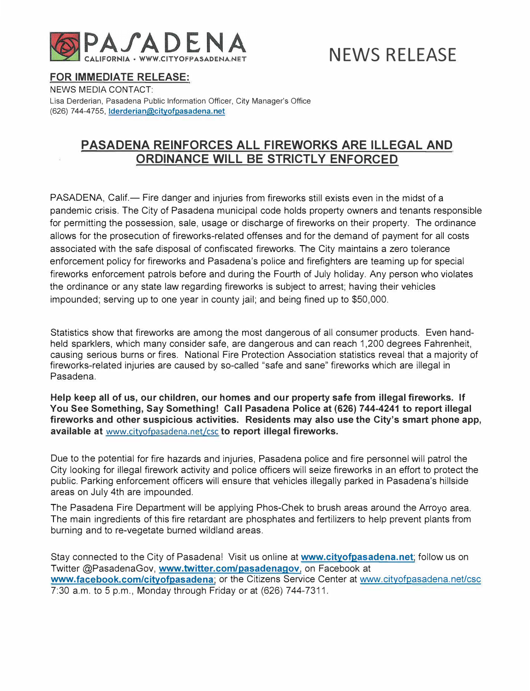

# **NEWS RELEASE**

### **FOR IMMEDIATE RELEASE:**

NEWS MEDIA CONTACT: Lisa Derderian, Pasadena Public Information Officer, City Manager's Office (626) 744-4755, **lderderian@cityofpasadena.net**

# **PASADENA REINFORCES ALL FIREWORKS ARE ILLEGAL AND ORDINANCE WILL BE STRICTLY ENFORCED**

PASADENA, Calif.— Fire danger and injuries from fireworks still exists even in the midst of a pandemic crisis. The City of Pasadena municipal code holds property owners and tenants responsible for permitting the possession, sale, usage or discharge of fireworks on their property. The ordinance allows for the prosecution of fireworks-related offenses and for the demand of payment for all costs associated with the safe disposal of confiscated fireworks. The City maintains a zero tolerance enforcement policy for fireworks and Pasadena's police and firefighters are teaming up for special fireworks enforcement patrols before and during the Fourth of July holiday. Any person who violates the ordinance or any state law regarding fireworks is subject to arrest; having their vehicles impounded; serving up to one year in county jail; and being fined up to \$50,000.

Statistics show that fireworks are among the most dangerous of all consumer products. Even handheld sparklers, which many consider safe, are dangerous and can reach 1,200 degrees Fahrenheit, causing serious burns or fires. National Fire Protection Association statistics reveal that a majority of fireworks-related injuries are caused by so-called "safe and sane" fireworks which are illegal in Pasadena.

**Help keep all of us, our children, our homes and our property safe from illegal fireworks. If You See Something, Say Something! Call Pasadena Police at (626) 744-4241 to report illegal fireworks and other suspicious activities. Residents may also use the City's smart phone app, available at** <www.cityofpasadena.net/csc> **to report illegal fireworks.** 

Due to the potential for fire hazards and injuries, Pasadena police and fire personnel will patrol the City looking for illegal firework activity and police officers will seize fireworks in an effort to protect the public. Parking enforcement officers will ensure that vehicles illegally parked in Pasadena's hillside areas on July 4th are impounded.

The Pasadena Fire Department will be applying Phos-Chek to brush areas around the Arroyo area. The main ingredients of this fire retardant are phosphates and fertilizers to help prevent plants from burning and to re-vegetate burned wildland areas.

Stay connected to the City of Pasadena! Visit us online at **www.cityofpasadena.net;** follow us on Twitter @PasadenaGov, **www.twitter.com/pasadenagov,** on Facebook at **www.facebook.com/cityofpasadena;** or the Citizens Service Center at<www.cityofpasadena.net/csc> 7:30 a.m. to 5 p.m., Monday through Friday or at (626) 744-7311.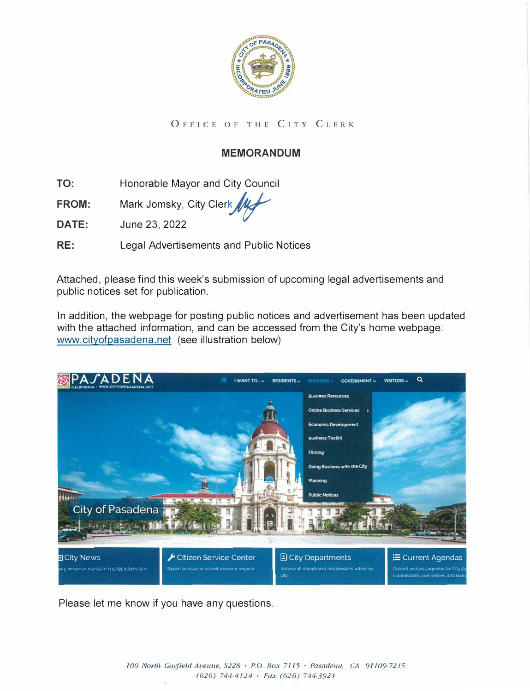

# OrFICE OF THE CITY CLERK

# **MEMORANDUM**

**TO:**  Honorable Mayor and City Council

**FROM:**  Mark Jomsky, City Clerk

**DATE:**  June 23, 2022

**RE:**  Legal Advertisements and Public Notices

Attached, please find this week's submission of upcoming legal advertisements and public notices set for publication.

In addition, the webpage for posting public notices and advertisement has been updated with the attached information, and can be accessed from the City's home webpage: www.cityofpasadena.net (see illustration below)



Please let me know if you have any questions.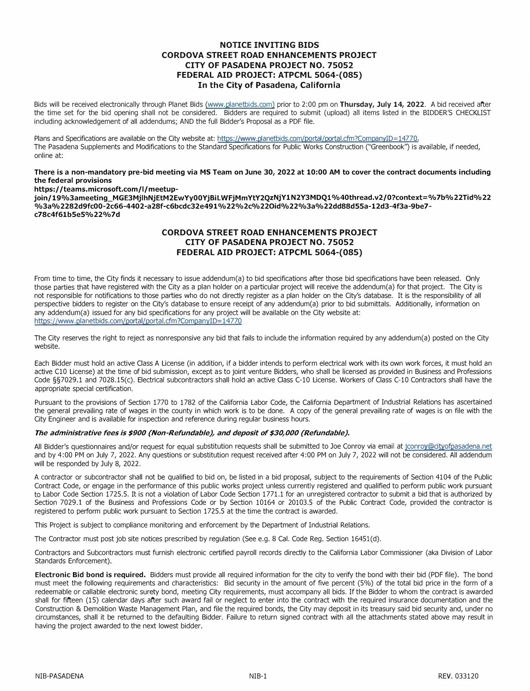### **NOTICE INVITING BIDS CORDOVA STREET ROAD ENHANCEMENTS PROJECT CITY OF PASADENA PROJECT NO. 75052 FEDERAL AID PROJECT: ATPCML 5064-(085) In the City of Pasadena, California**

Bids will be received electronically through Planet Bids [\(www.planetbids.com\)](www.planetbids.com) prior to 2:00 pm on **Thursday, July 14, 2022.** A bid received after the time set for the bid opening shall not be considered. Bidders are required to submit (upload) all items listed in the BIDDER'S CHECKLIST including acknowledgement of all addendums; AND the full Bidder's Proposal as a PDF file.

Plans and Specifications are available on the City website at: https://www.planetbids.com/portal/portal.cfm?CompanyID=14770. The Pasadena Supplements and Modifications to the Standard Specifications for Public Works Construction ("Greenbook") is available, if needed, online at:

#### **There is a non-mandatory pre-bid meeting via MS Team on June 30, 2022 at 10:00 AM to cover the contract documents including the federal provisions**

### **https:/ /teams.microsoft.com/1/meetup-**

**join/ 19%3ameeting\_MGE3MjlhNjEtM2EwYy00YjBiLWFjMmYtY2QzNjY1N 2Y3MDQ1 %40thread.v2/0?context= %7b%22Tid%22 %3a%2282d9fc00-2c66-4402-a28f-c6bcdc32e491%22%2c%22Oid%22%3a%22dd88d55a-12d3-4f3a-9be7 c78c4f61b5e5%22%7d** 

### **CORDOVA STREET ROAD ENHANCEMENTS PROJECT CITY OF PASADENA PROJECT NO. 75052 FEDERAL AID PROJECT: ATPCML 5064-(085)**

From time to time, the City finds it necessary to issue addendum(a) to bid specifications after those bid specifications have been released. Only those parties that have registered with the City as a plan holder on a particular project will receive the addendum(a) for that project. The City is not responsible for notifications to those parties who do not directly register as a plan holder on the City's database. It is the responsibility of all perspective bidders to register on the City's database to ensure receipt of any addendum(a) prior to bid submittals. Additionally, information on any addendum(a) issued for any bid specifications for any project will be available on the City website at: https://www.planetbids.com/portal/portal.cfm?CompanyID=14770

The City reserves the right to reject as nonresponsive any bid that fails to include the information required by any addendum(a) posted on the City website.

Each Bidder must hold an active Class A License (in addition, if a bidder intends to perform electrical work with its own work forces, it must hold an active Cl0 License) at the time of bid submission, except as to joint venture Bidders, who shall be licensed as provided in Business and Professions Code §§7029.1 and 7028.lS(c). Electrical subcontractors shall hold an active Class C-10 License. Workers of Class C-10 Contractors shall have the appropriate special certification.

Pursuant to the provisions of Section 1770 to 1782 of the California Labor Code, the California Department of Industrial Relations has ascertained the general prevailing rate of wages in the county in which work is to be done. A copy of the general prevailing rate of wages is on file with the City Engineer and is available for inspection and reference during regular business hours.

### *The administrative fees is \$900 (Non-Refundable}, and deposit of \$30,000 (Refundable}.*

All Bidder's questionnaires and/or request for equal substitution requests shall be submitted to Joe Conroy via email at jconroy@cityofpasadena.net and by 4:00 PM on July 7, 2022. Any questions or substitution request received after 4:00 PM on July 7, 2022 will not be considered. All addendum will be responded by July 8, 2022.

A contractor or subcontractor shall not be qualified to bid on, be listed in a bid proposal, subject to the requirements of Section 4104 of the Public Contract Code, or engage in the performance of this public works project unless currently registered and qualified to perform public work pursuant to Labor Code Section 1725.5. It is not a violation of Labor Code Section 1771.1 for an unregistered contractor to submit a bid that is authorized by Section 7029.1 of the Business and Professions Code or by Section 10164 or 20103.5 of the Public Contract Code, provided the contractor is registered to perform public work pursuant to Section 1725.5 at the time the contract is awarded.

This Project is subject to compliance monitoring and enforcement by the Department of Industrial Relations.

The Contractor must post job site notices prescribed by regulation (See e.g. 8 Cal. Code Reg. Section 16451(d).

Contractors and Subcontractors must furnish electronic certified payroll records directly to the California Labor Commissioner (aka Division of Labor Standards Enforcement).

**Electronic Bid bond is required.** Bidders must provide all required information for the city to verify the bond with their bid (PDF file). The bond must meet the following requirements and characteristics: Bid security in the amount of five percent (5%) of the total bid price in the form of a redeemable or callable electronic surety bond, meeting City requirements, must accompany all bids. If the Bidder to whom the contract is awarded shall for fifteen (15) calendar days after such award fail or neglect to enter into the contract with the required insurance documentation and the Construction & Demolition Waste Management Plan, and file the required bonds, the City may deposit in its treasury said bid security and, under no circumstances, shall it be returned to the defaulting Bidder. Failure to return signed contract with all the attachments stated above may result in having the project awarded to the next lowest bidder.